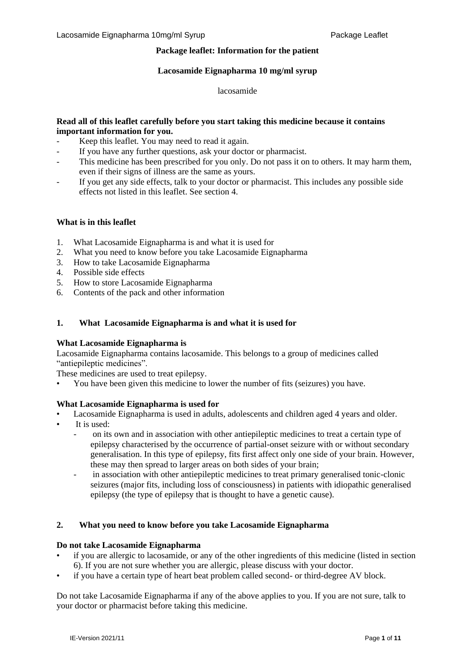# **Package leaflet: Information for the patient**

#### **Lacosamide Eignapharma 10 mg/ml syrup**

#### lacosamide

## **Read all of this leaflet carefully before you start taking this medicine because it contains important information for you.**

- Keep this leaflet. You may need to read it again.
- If you have any further questions, ask your doctor or pharmacist.
- This medicine has been prescribed for you only. Do not pass it on to others. It may harm them, even if their signs of illness are the same as yours.
- If you get any side effects, talk to your doctor or pharmacist. This includes any possible side effects not listed in this leaflet. See section 4.

## **What is in this leaflet**

- 1. What Lacosamide Eignapharma is and what it is used for
- 2. What you need to know before you take Lacosamide Eignapharma
- 3. How to take Lacosamide Eignapharma
- 4. Possible side effects
- 5. How to store Lacosamide Eignapharma
- 6. Contents of the pack and other information

#### **1. What Lacosamide Eignapharma is and what it is used for**

#### **What Lacosamide Eignapharma is**

Lacosamide Eignapharma contains lacosamide. This belongs to a group of medicines called "antiepileptic medicines".

These medicines are used to treat epilepsy.

• You have been given this medicine to lower the number of fits (seizures) you have.

## **What Lacosamide Eignapharma is used for**

- Lacosamide Eignapharma is used in adults, adolescents and children aged 4 years and older.
- It is used:
	- on its own and in association with other antiepileptic medicines to treat a certain type of epilepsy characterised by the occurrence of partial-onset seizure with or without secondary generalisation. In this type of epilepsy, fits first affect only one side of your brain. However, these may then spread to larger areas on both sides of your brain;
	- in association with other antiepileptic medicines to treat primary generalised tonic-clonic seizures (major fits, including loss of consciousness) in patients with idiopathic generalised epilepsy (the type of epilepsy that is thought to have a genetic cause).

#### **2. What you need to know before you take Lacosamide Eignapharma**

#### **Do not take Lacosamide Eignapharma**

- if you are allergic to lacosamide, or any of the other ingredients of this medicine (listed in section 6). If you are not sure whether you are allergic, please discuss with your doctor.
- if you have a certain type of heart beat problem called second- or third-degree AV block.

Do not take Lacosamide Eignapharma if any of the above applies to you. If you are not sure, talk to your doctor or pharmacist before taking this medicine.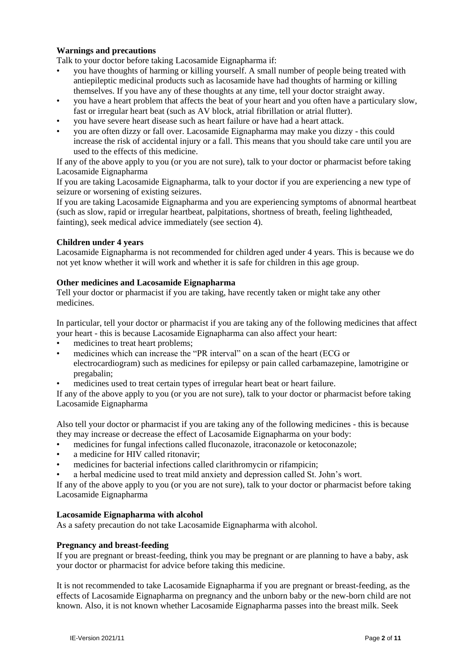# **Warnings and precautions**

Talk to your doctor before taking Lacosamide Eignapharma if:

- you have thoughts of harming or killing yourself. A small number of people being treated with antiepileptic medicinal products such as lacosamide have had thoughts of harming or killing themselves. If you have any of these thoughts at any time, tell your doctor straight away.
- you have a heart problem that affects the beat of your heart and you often have a particulary slow, fast or irregular heart beat (such as AV block, atrial fibrillation or atrial flutter).
- you have severe heart disease such as heart failure or have had a heart attack.
- you are often dizzy or fall over. Lacosamide Eignapharma may make you dizzy this could increase the risk of accidental injury or a fall. This means that you should take care until you are used to the effects of this medicine.

If any of the above apply to you (or you are not sure), talk to your doctor or pharmacist before taking Lacosamide Eignapharma

If you are taking Lacosamide Eignapharma, talk to your doctor if you are experiencing a new type of seizure or worsening of existing seizures.

If you are taking Lacosamide Eignapharma and you are experiencing symptoms of abnormal heartbeat (such as slow, rapid or irregular heartbeat, palpitations, shortness of breath, feeling lightheaded, fainting), seek medical advice immediately (see section 4).

## **Children under 4 years**

Lacosamide Eignapharma is not recommended for children aged under 4 years. This is because we do not yet know whether it will work and whether it is safe for children in this age group.

## **Other medicines and Lacosamide Eignapharma**

Tell your doctor or pharmacist if you are taking, have recently taken or might take any other medicines.

In particular, tell your doctor or pharmacist if you are taking any of the following medicines that affect your heart - this is because Lacosamide Eignapharma can also affect your heart:

- medicines to treat heart problems;
- medicines which can increase the "PR interval" on a scan of the heart (ECG or electrocardiogram) such as medicines for epilepsy or pain called carbamazepine, lamotrigine or pregabalin;
- medicines used to treat certain types of irregular heart beat or heart failure.

If any of the above apply to you (or you are not sure), talk to your doctor or pharmacist before taking Lacosamide Eignapharma

Also tell your doctor or pharmacist if you are taking any of the following medicines - this is because they may increase or decrease the effect of Lacosamide Eignapharma on your body:

- medicines for fungal infections called fluconazole, itraconazole or ketoconazole;
- a medicine for HIV called ritonavir;
- medicines for bacterial infections called clarithromycin or rifampicin;
- a herbal medicine used to treat mild anxiety and depression called St. John's wort.

If any of the above apply to you (or you are not sure), talk to your doctor or pharmacist before taking Lacosamide Eignapharma

## **Lacosamide Eignapharma with alcohol**

As a safety precaution do not take Lacosamide Eignapharma with alcohol.

# **Pregnancy and breast-feeding**

If you are pregnant or breast-feeding, think you may be pregnant or are planning to have a baby, ask your doctor or pharmacist for advice before taking this medicine.

It is not recommended to take Lacosamide Eignapharma if you are pregnant or breast-feeding, as the effects of Lacosamide Eignapharma on pregnancy and the unborn baby or the new-born child are not known. Also, it is not known whether Lacosamide Eignapharma passes into the breast milk. Seek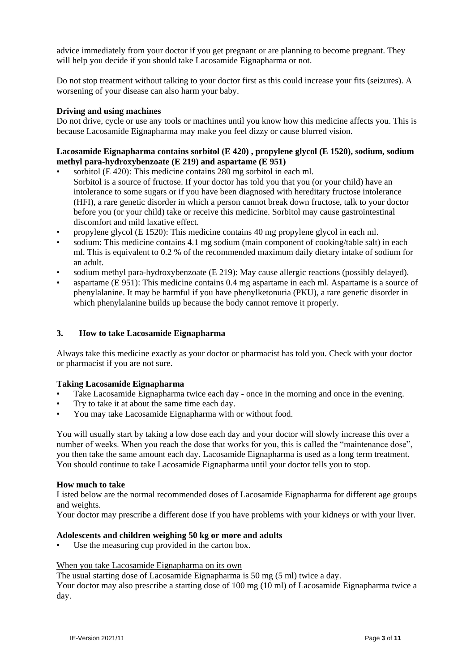advice immediately from your doctor if you get pregnant or are planning to become pregnant. They will help you decide if you should take Lacosamide Eignapharma or not.

Do not stop treatment without talking to your doctor first as this could increase your fits (seizures). A worsening of your disease can also harm your baby.

#### **Driving and using machines**

Do not drive, cycle or use any tools or machines until you know how this medicine affects you. This is because Lacosamide Eignapharma may make you feel dizzy or cause blurred vision.

# **Lacosamide Eignapharma contains sorbitol (E 420) , propylene glycol (E 1520), sodium, sodium methyl para-hydroxybenzoate (E 219) and aspartame (E 951)**

- sorbitol (E 420): This medicine contains 280 mg sorbitol in each ml. Sorbitol is a source of fructose. If your doctor has told you that you (or your child) have an intolerance to some sugars or if you have been diagnosed with hereditary fructose intolerance (HFI), a rare genetic disorder in which a person cannot break down fructose, talk to your doctor before you (or your child) take or receive this medicine. Sorbitol may cause gastrointestinal discomfort and mild laxative effect.
- propylene glycol (E 1520): This medicine contains 40 mg propylene glycol in each ml.
- sodium: This medicine contains 4.1 mg sodium (main component of cooking/table salt) in each ml. This is equivalent to 0.2 % of the recommended maximum daily dietary intake of sodium for an adult.
- sodium methyl para-hydroxybenzoate (E 219): May cause allergic reactions (possibly delayed).
- aspartame (E 951): This medicine contains 0.4 mg aspartame in each ml. Aspartame is a source of phenylalanine. It may be harmful if you have phenylketonuria (PKU), a rare genetic disorder in which phenylalanine builds up because the body cannot remove it properly.

## **3. How to take Lacosamide Eignapharma**

Always take this medicine exactly as your doctor or pharmacist has told you. Check with your doctor or pharmacist if you are not sure.

## **Taking Lacosamide Eignapharma**

- Take Lacosamide Eignapharma twice each day once in the morning and once in the evening.
- Try to take it at about the same time each day.
- You may take Lacosamide Eignapharma with or without food.

You will usually start by taking a low dose each day and your doctor will slowly increase this over a number of weeks. When you reach the dose that works for you, this is called the "maintenance dose", you then take the same amount each day. Lacosamide Eignapharma is used as a long term treatment. You should continue to take Lacosamide Eignapharma until your doctor tells you to stop.

#### **How much to take**

Listed below are the normal recommended doses of Lacosamide Eignapharma for different age groups and weights.

Your doctor may prescribe a different dose if you have problems with your kidneys or with your liver.

#### **Adolescents and children weighing 50 kg or more and adults**

Use the measuring cup provided in the carton box.

# When you take Lacosamide Eignapharma on its own

The usual starting dose of Lacosamide Eignapharma is 50 mg (5 ml) twice a day.

Your doctor may also prescribe a starting dose of 100 mg (10 ml) of Lacosamide Eignapharma twice a day.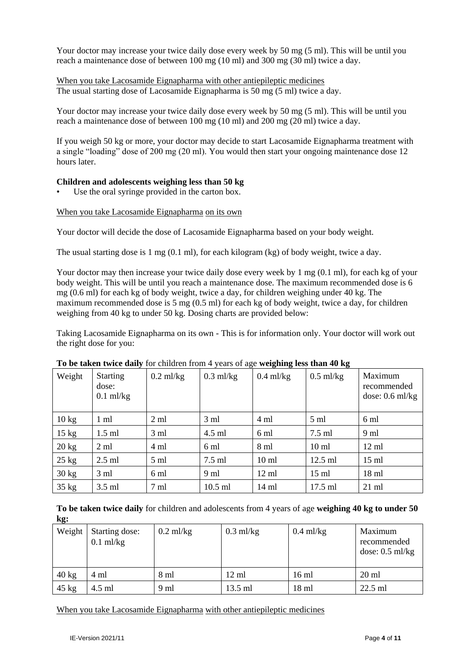Your doctor may increase your twice daily dose every week by 50 mg (5 ml). This will be until you reach a maintenance dose of between 100 mg (10 ml) and 300 mg (30 ml) twice a day.

When you take Lacosamide Eignapharma with other antiepileptic medicines The usual starting dose of Lacosamide Eignapharma is 50 mg (5 ml) twice a day.

Your doctor may increase your twice daily dose every week by 50 mg (5 ml). This will be until you reach a maintenance dose of between 100 mg (10 ml) and 200 mg (20 ml) twice a day.

If you weigh 50 kg or more, your doctor may decide to start Lacosamide Eignapharma treatment with a single "loading" dose of 200 mg (20 ml). You would then start your ongoing maintenance dose 12 hours later.

# **Children and adolescents weighing less than 50 kg**

Use the oral syringe provided in the carton box.

## When you take Lacosamide Eignapharma on its own

Your doctor will decide the dose of Lacosamide Eignapharma based on your body weight.

The usual starting dose is 1 mg (0.1 ml), for each kilogram (kg) of body weight, twice a day.

Your doctor may then increase your twice daily dose every week by 1 mg (0.1 ml), for each kg of your body weight. This will be until you reach a maintenance dose. The maximum recommended dose is 6 mg (0.6 ml) for each kg of body weight, twice a day, for children weighing under 40 kg. The maximum recommended dose is 5 mg (0.5 ml) for each kg of body weight, twice a day, for children weighing from 40 kg to under 50 kg. Dosing charts are provided below:

Taking Lacosamide Eignapharma on its own - This is for information only. Your doctor will work out the right dose for you:

| Weight          | <b>Starting</b><br>dose:<br>$0.1$ ml/kg | $0.2$ ml/kg    | $\sim$<br>$0.3$ ml/kg | -<br>$0.4$ ml/kg | -<br>$0.5$ ml/kg | Maximum<br>recommended<br>dose: $0.6$ ml/kg |
|-----------------|-----------------------------------------|----------------|-----------------------|------------------|------------------|---------------------------------------------|
| $10 \text{ kg}$ | 1 ml                                    | $2 \text{ ml}$ | $3 \text{ ml}$        | 4 ml             | $5 \text{ ml}$   | 6 ml                                        |
| $15 \text{ kg}$ | $1.5$ ml                                | $3 \text{ ml}$ | 4.5 ml                | 6 ml             | $7.5$ ml         | 9 ml                                        |
| $20 \text{ kg}$ | $2 \text{ ml}$                          | 4 ml           | $6 \text{ ml}$        | 8 ml             | $10 \text{ ml}$  | $12 \text{ ml}$                             |
| $25 \text{ kg}$ | $2.5$ ml                                | $5 \text{ ml}$ | $7.5$ ml              | 10 <sub>ml</sub> | 12.5 ml          | $15 \text{ ml}$                             |
| $30 \text{ kg}$ | 3 ml                                    | 6 ml           | 9 ml                  | $12 \text{ ml}$  | $15 \text{ ml}$  | $18 \text{ ml}$                             |
| $35 \text{ kg}$ | $3.5$ ml                                | 7 ml           | $10.5$ ml             | 14 ml            | $17.5$ ml        | $21 \text{ ml}$                             |

## **To be taken twice daily** for children from 4 years of age **weighing less than 40 kg**

**To be taken twice daily** for children and adolescents from 4 years of age **weighing 40 kg to under 50 kg:**

| Weight          | Starting dose:<br>$0.1$ ml/kg | $0.2$ ml/kg | $0.3$ ml/kg     | $0.4$ ml/kg     | Maximum<br>recommended<br>dose: $0.5$ ml/kg |
|-----------------|-------------------------------|-------------|-----------------|-----------------|---------------------------------------------|
| $40 \text{ kg}$ | 4 ml                          | 8 ml        | $12 \text{ ml}$ | $16 \text{ ml}$ | $20 \text{ ml}$                             |
| $45 \text{ kg}$ | 4.5 ml                        | 9 ml        | $13.5$ ml       | $18 \text{ ml}$ | $22.5$ ml                                   |

When you take Lacosamide Eignapharma with other antiepileptic medicines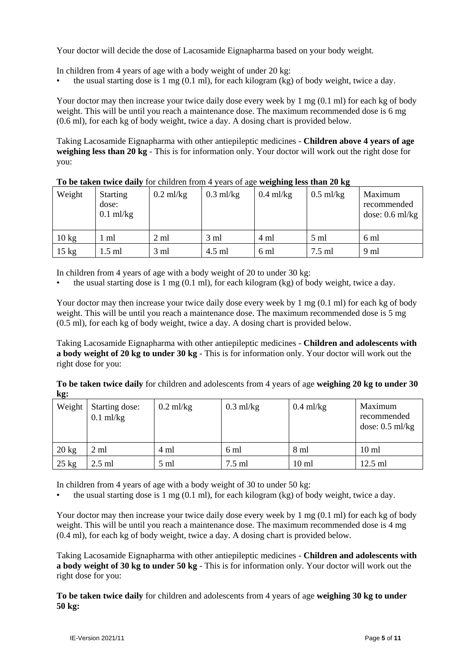Your doctor will decide the dose of Lacosamide Eignapharma based on your body weight.

In children from 4 years of age with a body weight of under 20 kg:

the usual starting dose is 1 mg  $(0.1 \text{ ml})$ , for each kilogram (kg) of body weight, twice a day.

Your doctor may then increase your twice daily dose every week by 1 mg (0.1 ml) for each kg of body weight. This will be until you reach a maintenance dose. The maximum recommended dose is 6 mg (0.6 ml), for each kg of body weight, twice a day. A dosing chart is provided below.

Taking Lacosamide Eignapharma with other antiepileptic medicines - **Children above 4 years of age weighing less than 20 kg** - This is for information only. Your doctor will work out the right dose for you:

| Weight          | <b>Starting</b><br>dose:<br>$0.1$ ml/kg | $0.2$ ml/kg    | $0.3$ ml/kg    | $0.4$ ml/kg | $0.5$ ml/kg | Maximum<br>recommended<br>dose: $0.6$ ml/kg |
|-----------------|-----------------------------------------|----------------|----------------|-------------|-------------|---------------------------------------------|
| $10 \text{ kg}$ | ml                                      | $2 \text{ ml}$ | $3 \text{ ml}$ | 4 ml        | 5 ml        | 6 ml                                        |
| $15$ kg         | $1.5$ ml                                | 3 ml           | 4.5 ml         | 6 ml        | 7.5 ml      | 9 ml                                        |

**To be taken twice daily** for children from 4 years of age **weighing less than 20 kg**

In children from 4 years of age with a body weight of 20 to under 30 kg:

the usual starting dose is 1 mg  $(0.1 \text{ ml})$ , for each kilogram (kg) of body weight, twice a day.

Your doctor may then increase your twice daily dose every week by 1 mg  $(0.1 \text{ ml})$  for each kg of body weight. This will be until you reach a maintenance dose. The maximum recommended dose is 5 mg (0.5 ml), for each kg of body weight, twice a day. A dosing chart is provided below.

Taking Lacosamide Eignapharma with other antiepileptic medicines - **Children and adolescents with a body weight of 20 kg to under 30 kg** - This is for information only. Your doctor will work out the right dose for you:

**To be taken twice daily** for children and adolescents from 4 years of age **weighing 20 kg to under 30 kg:**

| Weight          | Starting dose:<br>$0.1$ ml/kg | $0.2$ ml/kg | $0.3$ ml/kg | $0.4$ ml/kg      | Maximum<br>recommended<br>dose: $0.5$ ml/kg |
|-----------------|-------------------------------|-------------|-------------|------------------|---------------------------------------------|
| $20 \text{ kg}$ | 2 ml                          | 4 ml        | 6 ml        | 8 ml             | $10 \text{ ml}$                             |
| $25 \text{ kg}$ | $2.5$ ml                      | 5 ml        | 7.5 ml      | 10 <sub>ml</sub> | $12.5$ ml                                   |

In children from 4 years of age with a body weight of 30 to under 50 kg:

the usual starting dose is 1 mg  $(0.1 \text{ ml})$ , for each kilogram (kg) of body weight, twice a day.

Your doctor may then increase your twice daily dose every week by 1 mg (0.1 ml) for each kg of body weight. This will be until you reach a maintenance dose. The maximum recommended dose is 4 mg (0.4 ml), for each kg of body weight, twice a day. A dosing chart is provided below.

Taking Lacosamide Eignapharma with other antiepileptic medicines - **Children and adolescents with a body weight of 30 kg to under 50 kg** - This is for information only. Your doctor will work out the right dose for you:

**To be taken twice daily** for children and adolescents from 4 years of age **weighing 30 kg to under 50 kg:**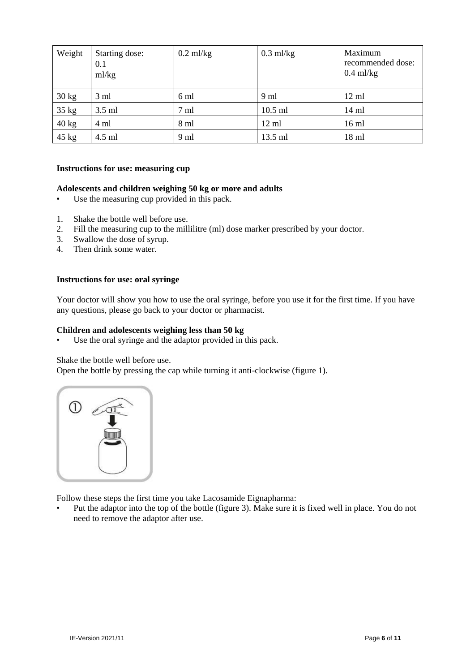| Weight          | Starting dose:<br>0.1<br>ml/kg | $0.2$ ml/kg | $0.3$ ml/kg | Maximum<br>recommended dose:<br>$0.4$ ml/kg |
|-----------------|--------------------------------|-------------|-------------|---------------------------------------------|
| $30 \text{ kg}$ | $3 \text{ ml}$                 | 6 ml        | 9 ml        | $12 \text{ ml}$                             |
| 35 kg           | $3.5$ ml                       | 7 ml        | $10.5$ ml   | $14 \text{ ml}$                             |
| 40 kg           | 4 ml                           | 8 ml        | 12 ml       | $16 \text{ ml}$                             |
| 45 kg           | 4.5 ml                         | 9 ml        | 13.5 ml     | $18$ ml                                     |

#### **Instructions for use: measuring cup**

## **Adolescents and children weighing 50 kg or more and adults**

- Use the measuring cup provided in this pack.
- 1. Shake the bottle well before use.
- 2. Fill the measuring cup to the millilitre (ml) dose marker prescribed by your doctor.
- 3. Swallow the dose of syrup.
- 4. Then drink some water.

#### **Instructions for use: oral syringe**

Your doctor will show you how to use the oral syringe, before you use it for the first time. If you have any questions, please go back to your doctor or pharmacist.

#### **Children and adolescents weighing less than 50 kg**

Use the oral syringe and the adaptor provided in this pack.

Shake the bottle well before use.

Open the bottle by pressing the cap while turning it anti-clockwise (figure 1).



Follow these steps the first time you take Lacosamide Eignapharma:

• Put the adaptor into the top of the bottle (figure 3). Make sure it is fixed well in place. You do not need to remove the adaptor after use.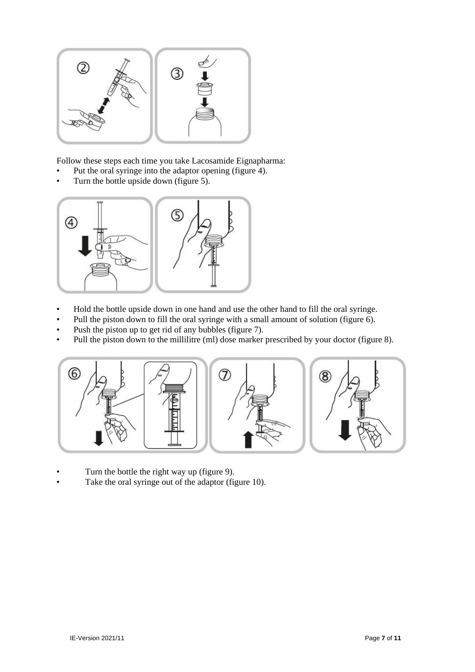

Follow these steps each time you take Lacosamide Eignapharma:

- Put the oral syringe into the adaptor opening (figure 4).
- Turn the bottle upside down (figure 5).



- Hold the bottle upside down in one hand and use the other hand to fill the oral syringe.
- Pull the piston down to fill the oral syringe with a small amount of solution (figure 6).
- Push the piston up to get rid of any bubbles (figure 7).
- Pull the piston down to the millilitre (ml) dose marker prescribed by your doctor (figure 8).



• Turn the bottle the right way up (figure 9). Take the oral syringe out of the adaptor (figure 10).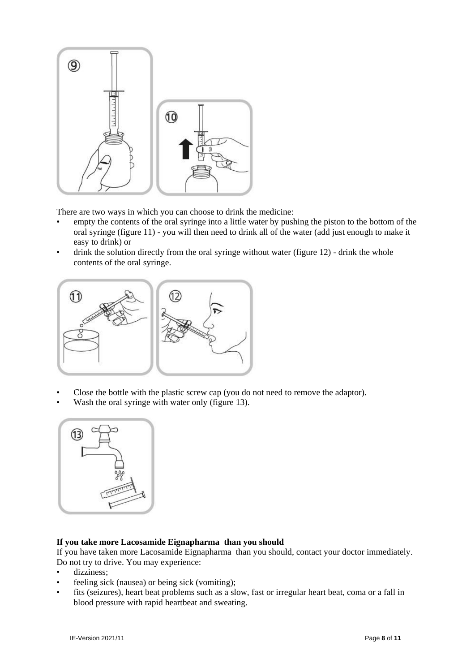

There are two ways in which you can choose to drink the medicine:

- empty the contents of the oral syringe into a little water by pushing the piston to the bottom of the oral syringe (figure 11) - you will then need to drink all of the water (add just enough to make it easy to drink) or
- drink the solution directly from the oral syringe without water (figure 12) drink the whole contents of the oral syringe.



- Close the bottle with the plastic screw cap (you do not need to remove the adaptor).
- Wash the oral syringe with water only (figure 13).



# **If you take more Lacosamide Eignapharma than you should**

If you have taken more Lacosamide Eignapharma than you should, contact your doctor immediately. Do not try to drive. You may experience:

- dizziness;
- feeling sick (nausea) or being sick (vomiting);
- fits (seizures), heart beat problems such as a slow, fast or irregular heart beat, coma or a fall in blood pressure with rapid heartbeat and sweating.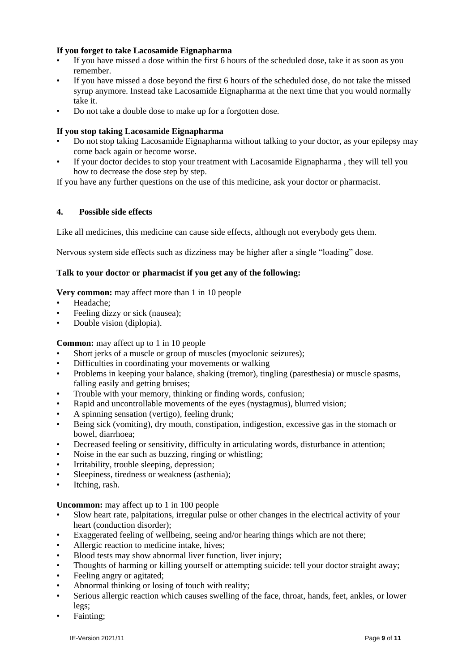# **If you forget to take Lacosamide Eignapharma**

- If you have missed a dose within the first 6 hours of the scheduled dose, take it as soon as you remember.
- If you have missed a dose beyond the first 6 hours of the scheduled dose, do not take the missed syrup anymore. Instead take Lacosamide Eignapharma at the next time that you would normally take it.
- Do not take a double dose to make up for a forgotten dose.

# **If you stop taking Lacosamide Eignapharma**

- Do not stop taking Lacosamide Eignapharma without talking to your doctor, as your epilepsy may come back again or become worse.
- If your doctor decides to stop your treatment with Lacosamide Eignapharma , they will tell you how to decrease the dose step by step.

If you have any further questions on the use of this medicine, ask your doctor or pharmacist.

# **4. Possible side effects**

Like all medicines, this medicine can cause side effects, although not everybody gets them.

Nervous system side effects such as dizziness may be higher after a single "loading" dose.

## **Talk to your doctor or pharmacist if you get any of the following:**

## **Very common:** may affect more than 1 in 10 people

- Headache;
- Feeling dizzy or sick (nausea);
- Double vision (diplopia).

**Common:** may affect up to 1 in 10 people

- Short jerks of a muscle or group of muscles (myoclonic seizures);
- Difficulties in coordinating your movements or walking
- Problems in keeping your balance, shaking (tremor), tingling (paresthesia) or muscle spasms, falling easily and getting bruises;
- Trouble with your memory, thinking or finding words, confusion;
- Rapid and uncontrollable movements of the eyes (nystagmus), blurred vision;
- A spinning sensation (vertigo), feeling drunk;
- Being sick (vomiting), dry mouth, constipation, indigestion, excessive gas in the stomach or bowel, diarrhoea;
- Decreased feeling or sensitivity, difficulty in articulating words, disturbance in attention;
- Noise in the ear such as buzzing, ringing or whistling;
- Irritability, trouble sleeping, depression;
- Sleepiness, tiredness or weakness (asthenia);
- Itching, rash.

**Uncommon:** may affect up to 1 in 100 people

- Slow heart rate, palpitations, irregular pulse or other changes in the electrical activity of your heart (conduction disorder);
- Exaggerated feeling of wellbeing, seeing and/or hearing things which are not there;
- Allergic reaction to medicine intake, hives;
- Blood tests may show abnormal liver function, liver injury;
- Thoughts of harming or killing yourself or attempting suicide: tell your doctor straight away;
- Feeling angry or agitated:
- Abnormal thinking or losing of touch with reality;
- Serious allergic reaction which causes swelling of the face, throat, hands, feet, ankles, or lower legs;
- Fainting;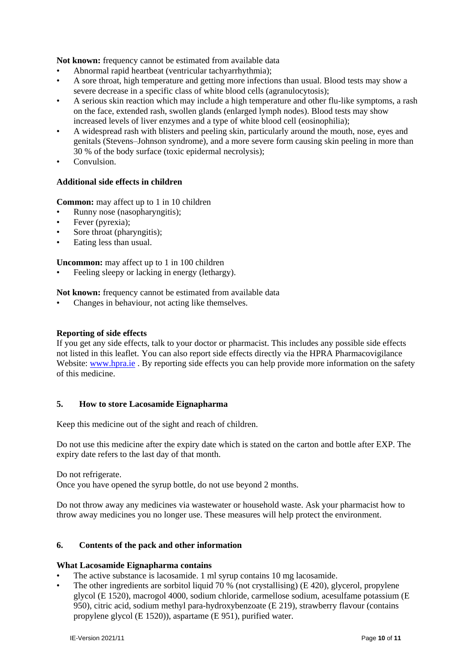**Not known:** frequency cannot be estimated from available data

- Abnormal rapid heartbeat (ventricular tachyarrhythmia);
- A sore throat, high temperature and getting more infections than usual. Blood tests may show a severe decrease in a specific class of white blood cells (agranulocytosis);
- A serious skin reaction which may include a high temperature and other flu-like symptoms, a rash on the face, extended rash, swollen glands (enlarged lymph nodes). Blood tests may show increased levels of liver enzymes and a type of white blood cell (eosinophilia);
- A widespread rash with blisters and peeling skin, particularly around the mouth, nose, eyes and genitals (Stevens–Johnson syndrome), and a more severe form causing skin peeling in more than 30 % of the body surface (toxic epidermal necrolysis);
- Convulsion.

# **Additional side effects in children**

**Common:** may affect up to 1 in 10 children

- Runny nose (nasopharyngitis);
- Fever (pyrexia);
- Sore throat (pharyngitis);
- Eating less than usual.

**Uncommon:** may affect up to 1 in 100 children

Feeling sleepy or lacking in energy (lethargy).

**Not known:** frequency cannot be estimated from available data

Changes in behaviour, not acting like themselves.

#### **Reporting of side effects**

If you get any side effects, talk to your doctor or pharmacist. This includes any possible side effects not listed in this leaflet. You can also report side effects directly via the HPRA Pharmacovigilance Website: [www.hpra.ie](http://www.hpra.ie/). By reporting side effects you can help provide more information on the safety of this medicine.

## **5. How to store Lacosamide Eignapharma**

Keep this medicine out of the sight and reach of children.

Do not use this medicine after the expiry date which is stated on the carton and bottle after EXP. The expiry date refers to the last day of that month.

Do not refrigerate.

Once you have opened the syrup bottle, do not use beyond 2 months.

Do not throw away any medicines via wastewater or household waste. Ask your pharmacist how to throw away medicines you no longer use. These measures will help protect the environment.

# **6. Contents of the pack and other information**

#### **What Lacosamide Eignapharma contains**

- The active substance is lacosamide. 1 ml syrup contains 10 mg lacosamide.
- The other ingredients are sorbitol liquid 70  $\%$  (not crystallising) (E 420), glycerol, propylene glycol (E 1520), macrogol 4000, sodium chloride, carmellose sodium, acesulfame potassium (E 950), citric acid, sodium methyl para-hydroxybenzoate (E 219), strawberry flavour (contains propylene glycol (E 1520)), aspartame (E 951), purified water.